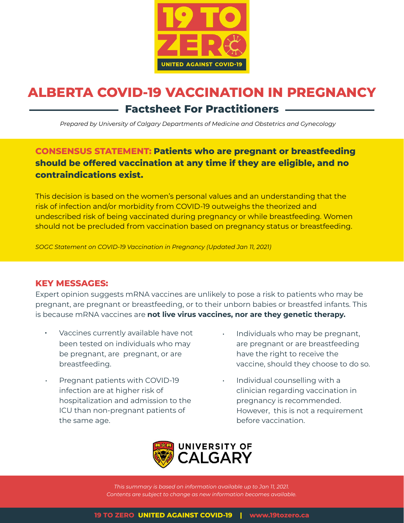

# **ALBERTA COVID-19 VACCINATION IN PREGNANCY Factsheet For Practitioners**

*Prepared by University of Calgary Departments of Medicine and Obstetrics and Gynecology*

**CONSENSUS STATEMENT: Patients who are pregnant or breastfeeding should be offered vaccination at any time if they are eligible, and no contraindications exist.** 

This decision is based on the women's personal values and an understanding that the risk of infection and/or morbidity from COVID-19 outweighs the theorized and undescribed risk of being vaccinated during pregnancy or while breastfeeding. Women should not be precluded from vaccination based on pregnancy status or breastfeeding.

*SOGC Statement on COVID-19 Vaccination in Pregnancy (Updated Jan 11, 2021)*

#### **KEY MESSAGES:**

Expert opinion suggests mRNA vaccines are unlikely to pose a risk to patients who may be pregnant, are pregnant or breastfeeding, or to their unborn babies or breastfed infants. This is because mRNA vaccines are **not live virus vaccines, nor are they genetic therapy.**

- Vaccines currently available have not been tested on individuals who may be pregnant, are pregnant, or are breastfeeding.
- Pregnant patients with COVID-19 infection are at higher risk of hospitalization and admission to the ICU than non-pregnant patients of the same age.
- Individuals who may be pregnant, are pregnant or are breastfeeding have the right to receive the vaccine, should they choose to do so.
- Individual counselling with a clinician regarding vaccination in pregnancy is recommended. However, this is not a requirement before vaccination.



*This summary is based on information available up to Jan 11, 2021. Contents are subject to change as new information becomes available.*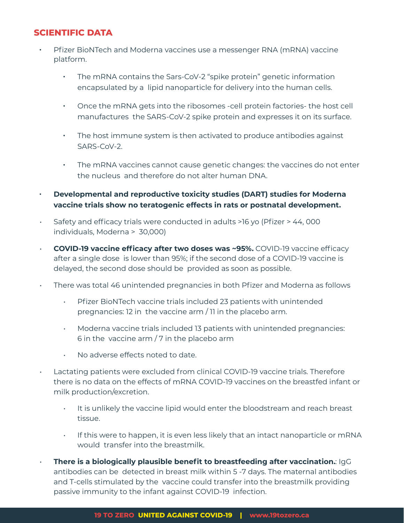#### **SCIENTIFIC DATA**

- Pfizer BioNTech and Moderna vaccines use a messenger RNA (mRNA) vaccine platform.
	- The mRNA contains the Sars-CoV-2 "spike protein" genetic information encapsulated by a lipid nanoparticle for delivery into the human cells.
	- Once the mRNA gets into the ribosomes -cell protein factories- the host cell manufactures the SARS-CoV-2 spike protein and expresses it on its surface.
	- The host immune system is then activated to produce antibodies against SARS-CoV-2.
	- The mRNA vaccines cannot cause genetic changes: the vaccines do not enter the nucleus and therefore do not alter human DNA.
- **Developmental and reproductive toxicity studies (DART) studies for Moderna vaccine trials show no teratogenic effects in rats or postnatal development.**
- Safety and efficacy trials were conducted in adults >16 yo (Pfizer > 44, 000 individuals, Moderna > 30,000)
- **COVID-19 vaccine efficacy after two doses was ~95%.** COVID-19 vaccine efficacy after a single dose is lower than 95%; if the second dose of a COVID-19 vaccine is delayed, the second dose should be provided as soon as possible.
- There was total 46 unintended pregnancies in both Pfizer and Moderna as follows
	- Pfizer BioNTech vaccine trials included 23 patients with unintended pregnancies: 12 in the vaccine arm / 11 in the placebo arm.
	- Moderna vaccine trials included 13 patients with unintended pregnancies: 6 in the vaccine arm / 7 in the placebo arm
	- No adverse effects noted to date.
- Lactating patients were excluded from clinical COVID-19 vaccine trials. Therefore there is no data on the effects of mRNA COVID-19 vaccines on the breastfed infant or milk production/excretion.
	- It is unlikely the vaccine lipid would enter the bloodstream and reach breast tissue.
	- If this were to happen, it is even less likely that an intact nanoparticle or mRNA would transfer into the breastmilk.
	- **There is a biologically plausible benefit to breastfeeding after vaccination.**: IgG antibodies can be detected in breast milk within 5 -7 days. The maternal antibodies and T-cells stimulated by the vaccine could transfer into the breastmilk providing passive immunity to the infant against COVID-19 infection.